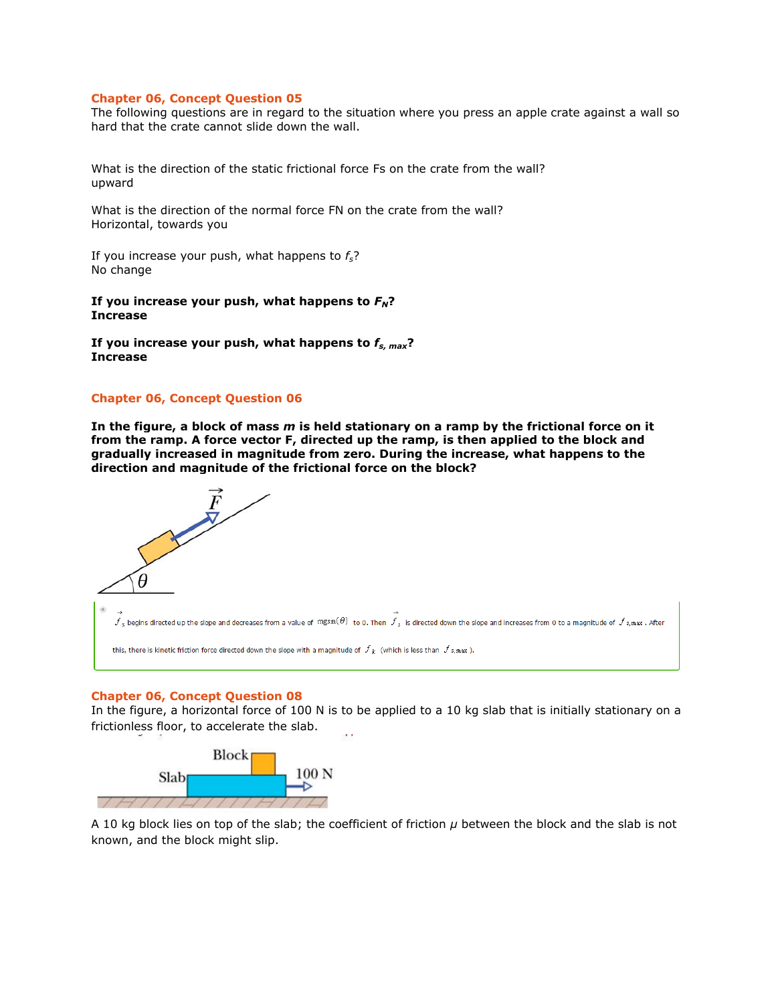#### **Chapter 06, Concept Question 05**

The following questions are in regard to the situation where you press an apple crate against a wall so hard that the crate cannot slide down the wall.

What is the direction of the static frictional force Fs on the crate from the wall? upward

What is the direction of the normal force FN on the crate from the wall? Horizontal, towards you

If you increase your push, what happens to *fs*? No change

If you increase your push, what happens to  $F_N$ ? **Increase** 

**If you increase your push, what happens to** *fs, max***? Increase** 

### **Chapter 06, Concept Question 06**

**In the figure, a block of mass** *m* **is held stationary on a ramp by the frictional force on it from the ramp. A force vector F, directed up the ramp, is then applied to the block and gradually increased in magnitude from zero. During the increase, what happens to the direction and magnitude of the frictional force on the block?** 



#### **Chapter 06, Concept Question 08**

In the figure, a horizontal force of 100 N is to be applied to a 10 kg slab that is initially stationary on a frictionless floor, to accelerate the slab.



A 10 kg block lies on top of the slab; the coefficient of friction *μ* between the block and the slab is not known, and the block might slip.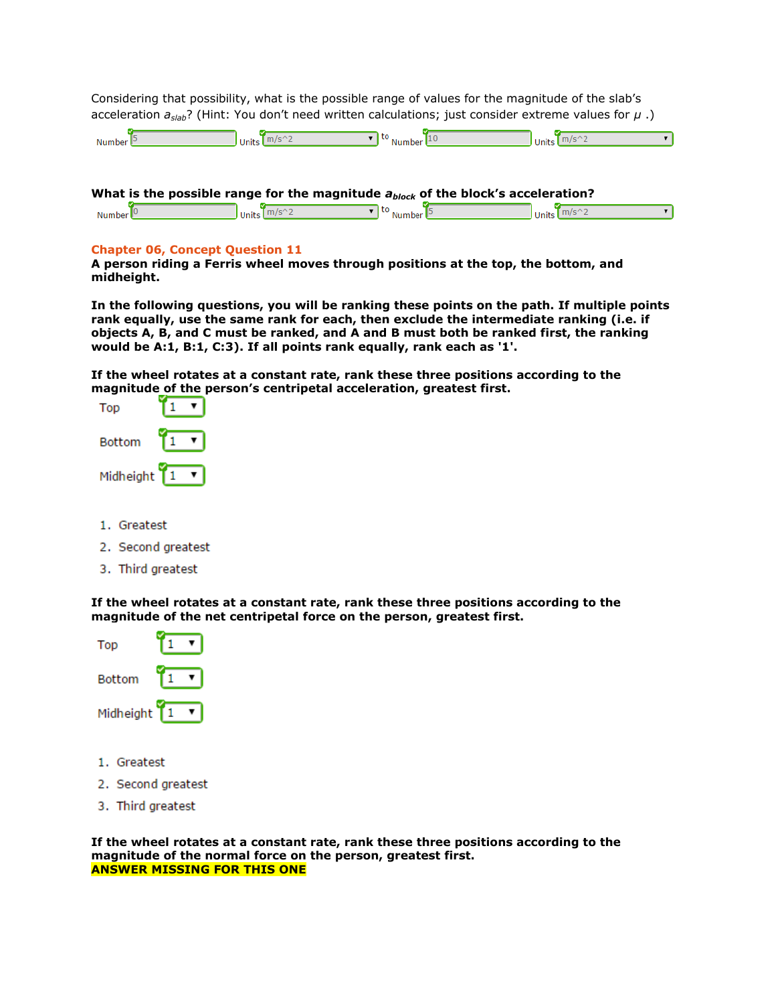Considering that possibility, what is the possible range of values for the magnitude of the slab's acceleration *aslab*? (Hint: You don't need written calculations; just consider extreme values for *μ* .)

| $\mathbf{A}$<br>Numbe | Units | - | `` | טוווע |  |
|-----------------------|-------|---|----|-------|--|
|                       |       |   |    |       |  |

| What is the possible range for the magnitude $a_{block}$ of the block's acceleration? |                                                        |                                                                                      |                                |  |  |  |  |  |  |
|---------------------------------------------------------------------------------------|--------------------------------------------------------|--------------------------------------------------------------------------------------|--------------------------------|--|--|--|--|--|--|
| Number $\mathbb{P}$                                                                   | $\int$ Units $\int$ m/s <sup><math>\sim</math></sup> 2 | $\overline{\phantom{a}}$ to $\overline{\phantom{a}}$ Number $\overline{\phantom{a}}$ | $\frac{1}{\text{Units}}$ m/s^2 |  |  |  |  |  |  |

# **Chapter 06, Concept Question 11**

**A person riding a Ferris wheel moves through positions at the top, the bottom, and midheight.** 

**In the following questions, you will be ranking these points on the path. If multiple points rank equally, use the same rank for each, then exclude the intermediate ranking (i.e. if objects A, B, and C must be ranked, and A and B must both be ranked first, the ranking would be A:1, B:1, C:3). If all points rank equally, rank each as '1'.** 

**If the wheel rotates at a constant rate, rank these three positions according to the magnitude of the person's centripetal acceleration, greatest first.**



- 1. Greatest
- 2. Second greatest
- 3. Third greatest

**If the wheel rotates at a constant rate, rank these three positions according to the magnitude of the net centripetal force on the person, greatest first.** 



- 1. Greatest
- 2. Second greatest
- 3. Third greatest

**If the wheel rotates at a constant rate, rank these three positions according to the magnitude of the normal force on the person, greatest first. ANSWER MISSING FOR THIS ONE**